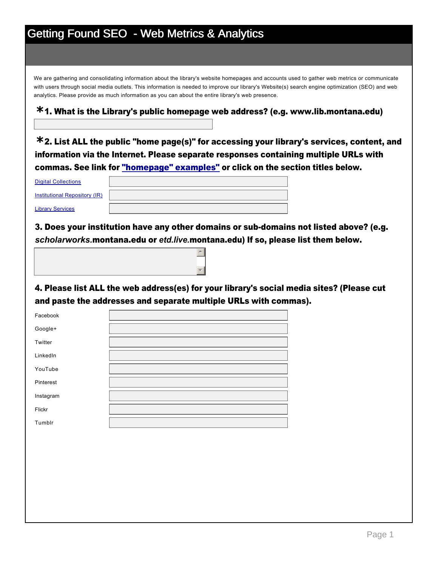# Getting Found SEO - Web Metrics & Analytics

We are gathering and consolidating information about the library's website homepages and accounts used to gather web metrics or communicate with users through social media outlets. This information is needed to improve our library's Website(s) search engine optimization (SEO) and web analytics. Please provide as much information as you can about the entire library's web presence.

## 1. What is the Library's public homepage web address? (e.g. www.lib.montana.edu) **\***

2. List ALL the public "home page(s)" for accessing your library's services, content, and **\*** information via the Internet. Please separate responses containing multiple URLs with commas. See link for "homepage" examples" or click on the section titles below.

| <b>Digital Collections</b>    |  |
|-------------------------------|--|
| Institutional Repository (IR) |  |
| <b>Library Services</b>       |  |

3. Does your institution have any other domains or sub-domains not listed above? (e.g. *scholarworks.*montana.edu or *etd.live.*montana.edu) If so, please list them below.

 $\overline{a}$ 

र |

4. Please list ALL the web address(es) for your library's social media sites? (Please cut and paste the addresses and separate multiple URLs with commas).

| Facebook  |  |
|-----------|--|
| Google+   |  |
| Twitter   |  |
| LinkedIn  |  |
| YouTube   |  |
| Pinterest |  |
| Instagram |  |
| Flickr    |  |
| Tumblr    |  |
|           |  |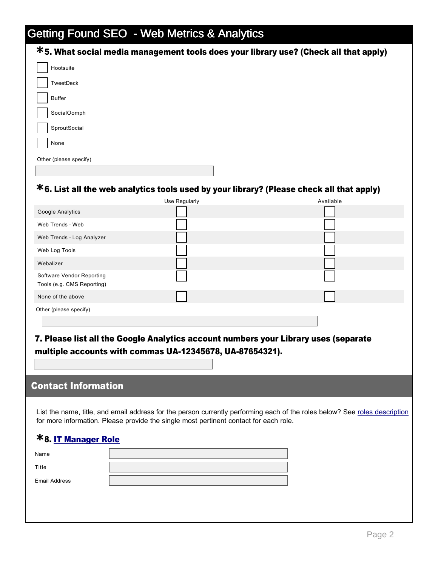# Getting Found SEO - Web Metrics & Analytics

| *5. What social media management tools does your library use? (Check all that apply) |
|--------------------------------------------------------------------------------------|
| Hootsuite                                                                            |
| TweetDeck                                                                            |
| <b>Buffer</b>                                                                        |
| SocialOomph                                                                          |
| SproutSocial                                                                         |
| None                                                                                 |
| Other (please specify)                                                               |
|                                                                                      |

## 6. List all the web analytics tools used by your library? (Please check all that apply) **\***

|                                                         | Use Regularly | Available |
|---------------------------------------------------------|---------------|-----------|
| Google Analytics                                        |               |           |
| Web Trends - Web                                        |               |           |
| Web Trends - Log Analyzer                               |               |           |
| Web Log Tools                                           |               |           |
| Webalizer                                               |               |           |
| Software Vendor Reporting<br>Tools (e.g. CMS Reporting) |               |           |
| None of the above                                       |               |           |
| Other (please specify)                                  |               |           |
|                                                         |               |           |

### 7. Please list all the Google Analytics account numbers your Library uses (separate multiple accounts with commas UA-12345678, UA-87654321).

### Contact Information

List the name, title, and email address for the person currently performing each of the roles below? See roles description for more information. Please provide the single most pertinent contact for each role.

## 8. IT Manager Role **\***

| Name          |  |
|---------------|--|
| Title         |  |
|               |  |
| Email Address |  |
|               |  |